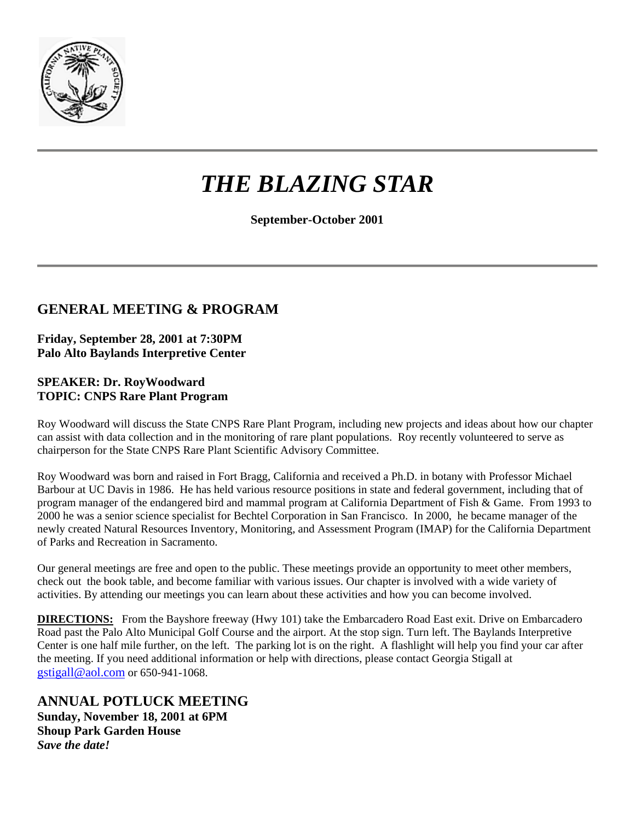

# *THE BLAZING STAR*

**September-October 2001** 

## **GENERAL MEETING & PROGRAM**

**Friday, September 28, 2001 at 7:30PM Palo Alto Baylands Interpretive Center**

#### **SPEAKER: Dr. RoyWoodward TOPIC: CNPS Rare Plant Program**

Roy Woodward will discuss the State CNPS Rare Plant Program, including new projects and ideas about how our chapter can assist with data collection and in the monitoring of rare plant populations. Roy recently volunteered to serve as chairperson for the State CNPS Rare Plant Scientific Advisory Committee.

Roy Woodward was born and raised in Fort Bragg, California and received a Ph.D. in botany with Professor Michael Barbour at UC Davis in 1986. He has held various resource positions in state and federal government, including that of program manager of the endangered bird and mammal program at California Department of Fish & Game. From 1993 to 2000 he was a senior science specialist for Bechtel Corporation in San Francisco. In 2000, he became manager of the newly created Natural Resources Inventory, Monitoring, and Assessment Program (IMAP) for the California Department of Parks and Recreation in Sacramento.

Our general meetings are free and open to the public. These meetings provide an opportunity to meet other members, check out the book table, and become familiar with various issues. Our chapter is involved with a wide variety of activities. By attending our meetings you can learn about these activities and how you can become involved.

**DIRECTIONS:** From the Bayshore freeway (Hwy 101) take the Embarcadero Road East exit. Drive on Embarcadero Road past the Palo Alto Municipal Golf Course and the airport. At the stop sign. Turn left. The Baylands Interpretive Center is one half mile further, on the left. The parking lot is on the right. A flashlight will help you find your car after the meeting. If you need additional information or help with directions, please contact Georgia Stigall at [gstigall@aol.com](file://Sul-kiwi/backups/SSRC/SSRC/rawlings/My%20Documents/gstigall@aol.com) or 650-941-1068.

## **ANNUAL POTLUCK MEETING**

**Sunday, November 18, 2001 at 6PM Shoup Park Garden House** *Save the date!*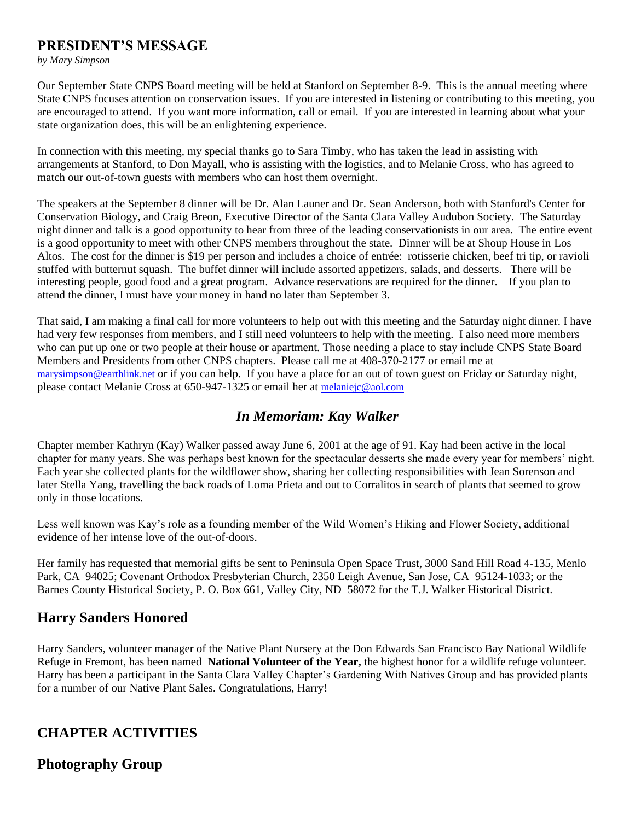#### **PRESIDENT'S MESSAGE**

*by Mary Simpson*

Our September State CNPS Board meeting will be held at Stanford on September 8-9. This is the annual meeting where State CNPS focuses attention on conservation issues. If you are interested in listening or contributing to this meeting, you are encouraged to attend. If you want more information, call or email. If you are interested in learning about what your state organization does, this will be an enlightening experience.

In connection with this meeting, my special thanks go to Sara Timby, who has taken the lead in assisting with arrangements at Stanford, to Don Mayall, who is assisting with the logistics, and to Melanie Cross, who has agreed to match our out-of-town guests with members who can host them overnight.

The speakers at the September 8 dinner will be Dr. Alan Launer and Dr. Sean Anderson, both with Stanford's Center for Conservation Biology, and Craig Breon, Executive Director of the Santa Clara Valley Audubon Society. The Saturday night dinner and talk is a good opportunity to hear from three of the leading conservationists in our area. The entire event is a good opportunity to meet with other CNPS members throughout the state. Dinner will be at Shoup House in Los Altos. The cost for the dinner is \$19 per person and includes a choice of entrée: rotisserie chicken, beef tri tip, or ravioli stuffed with butternut squash. The buffet dinner will include assorted appetizers, salads, and desserts. There will be interesting people, good food and a great program. Advance reservations are required for the dinner. If you plan to attend the dinner, I must have your money in hand no later than September 3.

That said, I am making a final call for more volunteers to help out with this meeting and the Saturday night dinner. I have had very few responses from members, and I still need volunteers to help with the meeting. I also need more members who can put up one or two people at their house or apartment. Those needing a place to stay include CNPS State Board Members and Presidents from other CNPS chapters. Please call me at 408-370-2177 or email me at [marysimpson@earthlink.net](file://Sul-kiwi/backups/SSRC/SSRC/rawlings/My%20Documents/marysimpson@earthlink.net) or if you can help. If you have a place for an out of town guest on Friday or Saturday night, please contact Melanie Cross at 650-947-1325 or email her at [melaniejc@aol.com](file://Sul-kiwi/backups/SSRC/SSRC/rawlings/My%20Documents/melaniejc@aol.com)

#### *In Memoriam: Kay Walker*

Chapter member Kathryn (Kay) Walker passed away June 6, 2001 at the age of 91. Kay had been active in the local chapter for many years. She was perhaps best known for the spectacular desserts she made every year for members' night. Each year she collected plants for the wildflower show, sharing her collecting responsibilities with Jean Sorenson and later Stella Yang, travelling the back roads of Loma Prieta and out to Corralitos in search of plants that seemed to grow only in those locations.

Less well known was Kay's role as a founding member of the Wild Women's Hiking and Flower Society, additional evidence of her intense love of the out-of-doors.

Her family has requested that memorial gifts be sent to Peninsula Open Space Trust, 3000 Sand Hill Road 4-135, Menlo Park, CA 94025; Covenant Orthodox Presbyterian Church, 2350 Leigh Avenue, San Jose, CA 95124-1033; or the Barnes County Historical Society, P. O. Box 661, Valley City, ND 58072 for the T.J. Walker Historical District.

## **Harry Sanders Honored**

Harry Sanders, volunteer manager of the Native Plant Nursery at the Don Edwards San Francisco Bay National Wildlife Refuge in Fremont, has been named **National Volunteer of the Year,** the highest honor for a wildlife refuge volunteer. Harry has been a participant in the Santa Clara Valley Chapter's Gardening With Natives Group and has provided plants for a number of our Native Plant Sales. Congratulations, Harry!

## **CHAPTER ACTIVITIES**

#### **Photography Group**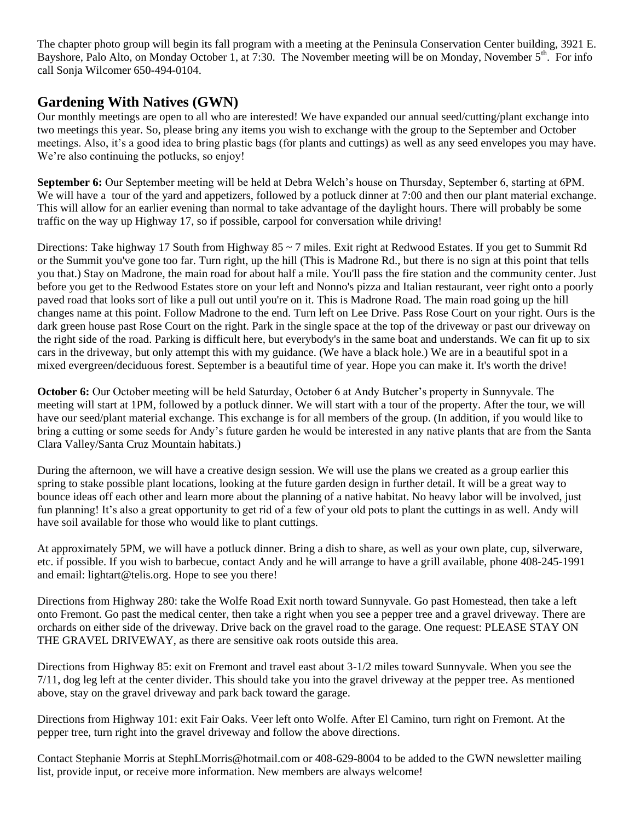The chapter photo group will begin its fall program with a meeting at the Peninsula Conservation Center building, 3921 E. Bayshore, Palo Alto, on Monday October 1, at 7:30. The November meeting will be on Monday, November 5<sup>th</sup>. For info call Sonja Wilcomer 650-494-0104.

## **Gardening With Natives (GWN)**

Our monthly meetings are open to all who are interested! We have expanded our annual seed/cutting/plant exchange into two meetings this year. So, please bring any items you wish to exchange with the group to the September and October meetings. Also, it's a good idea to bring plastic bags (for plants and cuttings) as well as any seed envelopes you may have. We're also continuing the potlucks, so enjoy!

**September 6:** Our September meeting will be held at Debra Welch's house on Thursday, September 6, starting at 6PM. We will have a tour of the yard and appetizers, followed by a potluck dinner at 7:00 and then our plant material exchange. This will allow for an earlier evening than normal to take advantage of the daylight hours. There will probably be some traffic on the way up Highway 17, so if possible, carpool for conversation while driving!

Directions: Take highway 17 South from Highway  $85 \sim 7$  miles. Exit right at Redwood Estates. If you get to Summit Rd or the Summit you've gone too far. Turn right, up the hill (This is Madrone Rd., but there is no sign at this point that tells you that.) Stay on Madrone, the main road for about half a mile. You'll pass the fire station and the community center. Just before you get to the Redwood Estates store on your left and Nonno's pizza and Italian restaurant, veer right onto a poorly paved road that looks sort of like a pull out until you're on it. This is Madrone Road. The main road going up the hill changes name at this point. Follow Madrone to the end. Turn left on Lee Drive. Pass Rose Court on your right. Ours is the dark green house past Rose Court on the right. Park in the single space at the top of the driveway or past our driveway on the right side of the road. Parking is difficult here, but everybody's in the same boat and understands. We can fit up to six cars in the driveway, but only attempt this with my guidance. (We have a black hole.) We are in a beautiful spot in a mixed evergreen/deciduous forest. September is a beautiful time of year. Hope you can make it. It's worth the drive!

**October 6:** Our October meeting will be held Saturday, October 6 at Andy Butcher's property in Sunnyvale. The meeting will start at 1PM, followed by a potluck dinner. We will start with a tour of the property. After the tour, we will have our seed/plant material exchange. This exchange is for all members of the group. (In addition, if you would like to bring a cutting or some seeds for Andy's future garden he would be interested in any native plants that are from the Santa Clara Valley/Santa Cruz Mountain habitats.)

During the afternoon, we will have a creative design session. We will use the plans we created as a group earlier this spring to stake possible plant locations, looking at the future garden design in further detail. It will be a great way to bounce ideas off each other and learn more about the planning of a native habitat. No heavy labor will be involved, just fun planning! It's also a great opportunity to get rid of a few of your old pots to plant the cuttings in as well. Andy will have soil available for those who would like to plant cuttings.

At approximately 5PM, we will have a potluck dinner. Bring a dish to share, as well as your own plate, cup, silverware, etc. if possible. If you wish to barbecue, contact Andy and he will arrange to have a grill available, phone 408-245-1991 and email: lightart@telis.org. Hope to see you there!

Directions from Highway 280: take the Wolfe Road Exit north toward Sunnyvale. Go past Homestead, then take a left onto Fremont. Go past the medical center, then take a right when you see a pepper tree and a gravel driveway. There are orchards on either side of the driveway. Drive back on the gravel road to the garage. One request: PLEASE STAY ON THE GRAVEL DRIVEWAY, as there are sensitive oak roots outside this area.

Directions from Highway 85: exit on Fremont and travel east about 3-1/2 miles toward Sunnyvale. When you see the 7/11, dog leg left at the center divider. This should take you into the gravel driveway at the pepper tree. As mentioned above, stay on the gravel driveway and park back toward the garage.

Directions from Highway 101: exit Fair Oaks. Veer left onto Wolfe. After El Camino, turn right on Fremont. At the pepper tree, turn right into the gravel driveway and follow the above directions.

Contact Stephanie Morris at StephLMorris@hotmail.com or 408-629-8004 to be added to the GWN newsletter mailing list, provide input, or receive more information. New members are always welcome!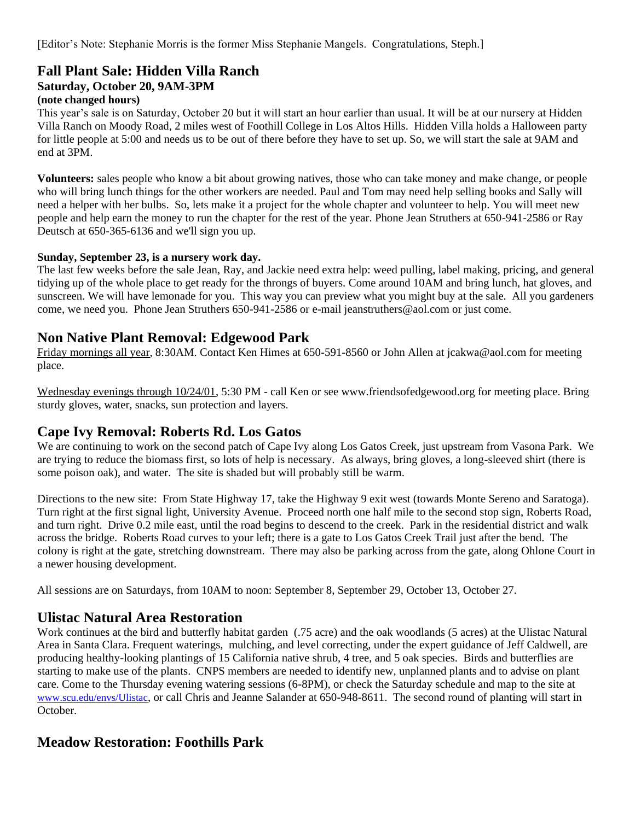[Editor's Note: Stephanie Morris is the former Miss Stephanie Mangels. Congratulations, Steph.]

## **Fall Plant Sale: Hidden Villa Ranch**

#### **Saturday, October 20, 9AM-3PM**

#### **(note changed hours)**

This year's sale is on Saturday, October 20 but it will start an hour earlier than usual. It will be at our nursery at Hidden Villa Ranch on Moody Road, 2 miles west of Foothill College in Los Altos Hills. Hidden Villa holds a Halloween party for little people at 5:00 and needs us to be out of there before they have to set up. So, we will start the sale at 9AM and end at 3PM.

**Volunteers:** sales people who know a bit about growing natives, those who can take money and make change, or people who will bring lunch things for the other workers are needed. Paul and Tom may need help selling books and Sally will need a helper with her bulbs. So, lets make it a project for the whole chapter and volunteer to help. You will meet new people and help earn the money to run the chapter for the rest of the year. Phone Jean Struthers at 650-941-2586 or Ray Deutsch at 650-365-6136 and we'll sign you up.

#### **Sunday, September 23, is a nursery work day.**

The last few weeks before the sale Jean, Ray, and Jackie need extra help: weed pulling, label making, pricing, and general tidying up of the whole place to get ready for the throngs of buyers. Come around 10AM and bring lunch, hat gloves, and sunscreen. We will have lemonade for you. This way you can preview what you might buy at the sale. All you gardeners come, we need you. Phone Jean Struthers 650-941-2586 or e-mail jeanstruthers@aol.com or just come.

#### **Non Native Plant Removal: Edgewood Park**

Friday mornings all year, 8:30AM. Contact Ken Himes at 650-591-8560 or John Allen at jcakwa@aol.com for meeting place.

Wednesday evenings through  $10/24/01$ , 5:30 PM - call Ken or see www.friendsofedgewood.org for meeting place. Bring sturdy gloves, water, snacks, sun protection and layers.

#### **Cape Ivy Removal: Roberts Rd. Los Gatos**

We are continuing to work on the second patch of Cape Ivy along Los Gatos Creek, just upstream from Vasona Park. We are trying to reduce the biomass first, so lots of help is necessary. As always, bring gloves, a long-sleeved shirt (there is some poison oak), and water. The site is shaded but will probably still be warm.

Directions to the new site: From State Highway 17, take the Highway 9 exit west (towards Monte Sereno and Saratoga). Turn right at the first signal light, University Avenue. Proceed north one half mile to the second stop sign, Roberts Road, and turn right. Drive 0.2 mile east, until the road begins to descend to the creek. Park in the residential district and walk across the bridge. Roberts Road curves to your left; there is a gate to Los Gatos Creek Trail just after the bend. The colony is right at the gate, stretching downstream. There may also be parking across from the gate, along Ohlone Court in a newer housing development.

All sessions are on Saturdays, from 10AM to noon: September 8, September 29, October 13, October 27.

#### **Ulistac Natural Area Restoration**

Work continues at the bird and butterfly habitat garden (.75 acre) and the oak woodlands (5 acres) at the Ulistac Natural Area in Santa Clara. Frequent waterings, mulching, and level correcting, under the expert guidance of Jeff Caldwell, are producing healthy-looking plantings of 15 California native shrub, 4 tree, and 5 oak species. Birds and butterflies are starting to make use of the plants. CNPS members are needed to identify new, unplanned plants and to advise on plant care. Come to the Thursday evening watering sessions (6-8PM), or check the Saturday schedule and map to the site at [www.scu.edu/envs/Ulistac](file://Sul-kiwi/backups/SSRC/SSRC/rawlings/My%20Documents/www.scu.edu/envs/Ulistac), or call Chris and Jeanne Salander at 650-948-8611. The second round of planting will start in October.

#### **Meadow Restoration: Foothills Park**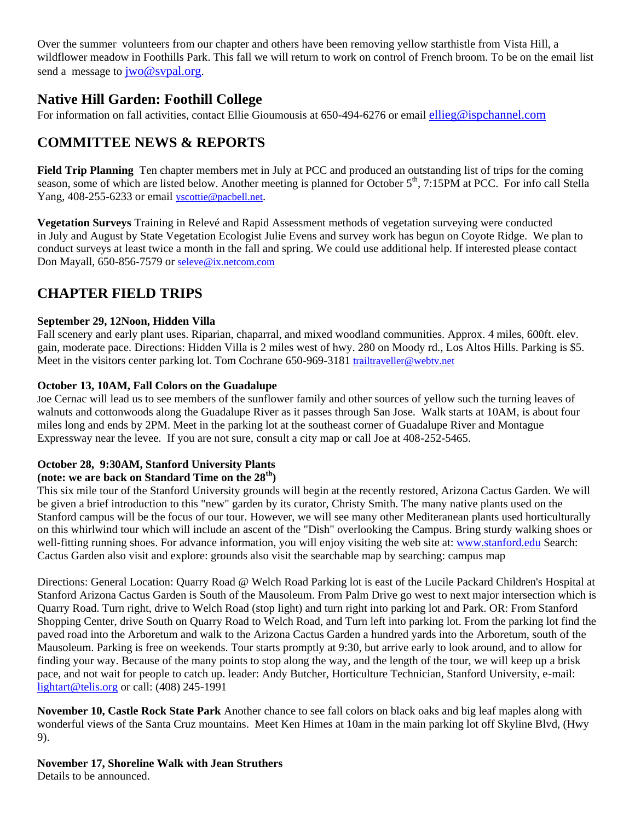Over the summer volunteers from our chapter and others have been removing yellow starthistle from Vista Hill, a wildflower meadow in Foothills Park. This fall we will return to work on control of French broom. To be on the email list send a message to  $\frac{i}{w_0}$  svpal.org.

#### **Native Hill Garden: Foothill College**

For information on fall activities, contact Ellie Gioumousis at 650-494-6276 or email [ellieg@ispchannel.com](file://Sul-kiwi/backups/SSRC/SSRC/rawlings/My%20Documents/ellieg@ispchannel.com)

## **COMMITTEE NEWS & REPORTS**

**Field Trip Planning** Ten chapter members met in July at PCC and produced an outstanding list of trips for the coming season, some of which are listed below. Another meeting is planned for October 5<sup>th</sup>, 7:15PM at PCC. For info call Stella Yang, 408-255-6233 or email [yscottie@pacbell.net](file://Sul-kiwi/backups/SSRC/SSRC/rawlings/My%20Documents/yscottie@pacbell.net).

**Vegetation Surveys** Training in Relevé and Rapid Assessment methods of vegetation surveying were conducted in July and August by State Vegetation Ecologist Julie Evens and survey work has begun on Coyote Ridge. We plan to conduct surveys at least twice a month in the fall and spring. We could use additional help. If interested please contact Don Mayall, 650-856-7579 or [seleve@ix.netcom.com](file://Sul-kiwi/backups/SSRC/SSRC/rawlings/My%20Documents/seleve@ix.netcom.com)

## **CHAPTER FIELD TRIPS**

#### **September 29, 12Noon, Hidden Villa**

Fall scenery and early plant uses. Riparian, chaparral, and mixed woodland communities. Approx. 4 miles, 600ft. elev. gain, moderate pace. Directions: Hidden Villa is 2 miles west of hwy. 280 on Moody rd., Los Altos Hills. Parking is \$5. Meet in the visitors center parking lot. Tom Cochrane 650-969-3181 [trailtraveller@webtv.net](file://Sul-kiwi/backups/SSRC/SSRC/rawlings/My%20Documents/trailtraveller@webtv.net)

#### **October 13, 10AM, Fall Colors on the Guadalupe**

Joe Cernac will lead us to see members of the sunflower family and other sources of yellow such the turning leaves of walnuts and cottonwoods along the Guadalupe River as it passes through San Jose. Walk starts at 10AM, is about four miles long and ends by 2PM. Meet in the parking lot at the southeast corner of Guadalupe River and Montague Expressway near the levee. If you are not sure, consult a city map or call Joe at 408-252-5465.

#### **October 28, 9:30AM, Stanford University Plants**

#### **(note: we are back on Standard Time on the 28th)**

This six mile tour of the Stanford University grounds will begin at the recently restored, Arizona Cactus Garden. We will be given a brief introduction to this "new" garden by its curator, Christy Smith. The many native plants used on the Stanford campus will be the focus of our tour. However, we will see many other Mediteranean plants used horticulturally on this whirlwind tour which will include an ascent of the "Dish" overlooking the Campus. Bring sturdy walking shoes or well-fitting running shoes. For advance information, you will enjoy visiting the web site at: [www.stanford.edu](http://www.stanford.edu/) Search: Cactus Garden also visit and explore: grounds also visit the searchable map by searching: campus map

Directions: General Location: Quarry Road @ Welch Road Parking lot is east of the Lucile Packard Children's Hospital at Stanford Arizona Cactus Garden is South of the Mausoleum. From Palm Drive go west to next major intersection which is Quarry Road. Turn right, drive to Welch Road (stop light) and turn right into parking lot and Park. OR: From Stanford Shopping Center, drive South on Quarry Road to Welch Road, and Turn left into parking lot. From the parking lot find the paved road into the Arboretum and walk to the Arizona Cactus Garden a hundred yards into the Arboretum, south of the Mausoleum. Parking is free on weekends. Tour starts promptly at 9:30, but arrive early to look around, and to allow for finding your way. Because of the many points to stop along the way, and the length of the tour, we will keep up a brisk pace, and not wait for people to catch up. leader: Andy Butcher, Horticulture Technician, Stanford University, e-mail: [lightart@telis.org](mailto:lightart@telis.org) or call: (408) 245-1991

**November 10, Castle Rock State Park** Another chance to see fall colors on black oaks and big leaf maples along with wonderful views of the Santa Cruz mountains. Meet Ken Himes at 10am in the main parking lot off Skyline Blvd, (Hwy 9).

**November 17, Shoreline Walk with Jean Struthers**

Details to be announced.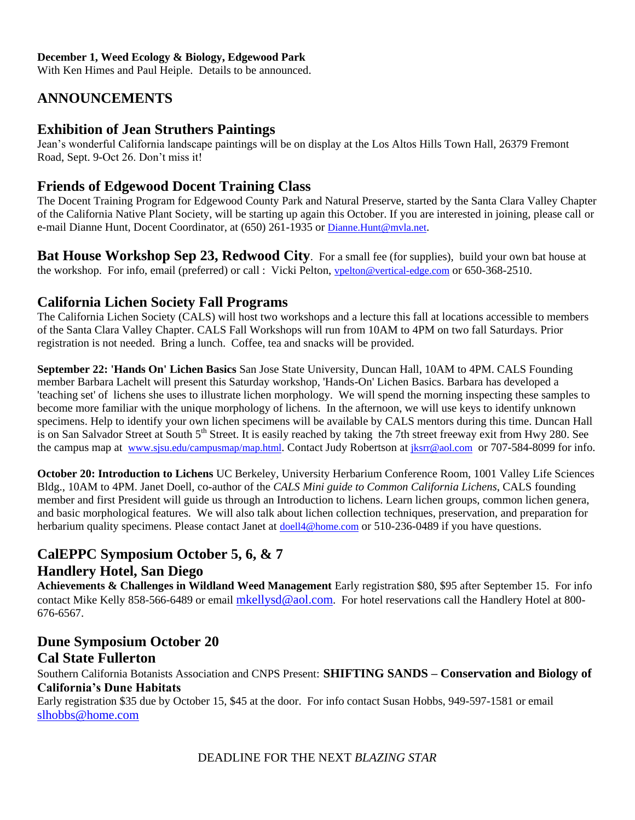#### **December 1, Weed Ecology & Biology, Edgewood Park**

With Ken Himes and Paul Heiple. Details to be announced.

## **ANNOUNCEMENTS**

#### **Exhibition of Jean Struthers Paintings**

Jean's wonderful California landscape paintings will be on display at the Los Altos Hills Town Hall, 26379 Fremont Road, Sept. 9-Oct 26. Don't miss it!

#### **Friends of Edgewood Docent Training Class**

The Docent Training Program for Edgewood County Park and Natural Preserve, started by the Santa Clara Valley Chapter of the California Native Plant Society, will be starting up again this October. If you are interested in joining, please call or e-mail Dianne Hunt, Docent Coordinator, at (650) 261-1935 or [Dianne.Hunt@mvla.net](mailto:Dianne.Hunt@mvla.net).

**Bat House Workshop Sep 23, Redwood City**. For a small fee (for supplies), build your own bat house at the workshop. For info, email (preferred) or call : Vicki Pelton, [vpelton@vertical-edge.com](file://Sul-kiwi/backups/SSRC/SSRC/rawlings/My%20Documents/vpelton@vertical-edge.com) or 650-368-2510.

#### **California Lichen Society Fall Programs**

The California Lichen Society (CALS) will host two workshops and a lecture this fall at locations accessible to members of the Santa Clara Valley Chapter. CALS Fall Workshops will run from 10AM to 4PM on two fall Saturdays. Prior registration is not needed. Bring a lunch. Coffee, tea and snacks will be provided.

**September 22: 'Hands On' Lichen Basics** San Jose State University, Duncan Hall, 10AM to 4PM. CALS Founding member Barbara Lachelt will present this Saturday workshop, 'Hands-On' Lichen Basics. Barbara has developed a 'teaching set' of lichens she uses to illustrate lichen morphology. We will spend the morning inspecting these samples to become more familiar with the unique morphology of lichens. In the afternoon, we will use keys to identify unknown specimens. Help to identify your own lichen specimens will be available by CALS mentors during this time. Duncan Hall is on San Salvador Street at South 5<sup>th</sup> Street. It is easily reached by taking the 7th street freeway exit from Hwy 280. See the campus map at [www.sjsu.edu/campusmap/map.html](file://Sul-kiwi/backups/SSRC/SSRC/rawlings/My%20Documents/www.sjsu.edu/campusmap/map.html). Contact Judy Robertson at [jksrr@aol.com](file://Sul-kiwi/backups/SSRC/SSRC/rawlings/My%20Documents/jksrr@aol.com) or 707-584-8099 for info.

**October 20: Introduction to Lichens** UC Berkeley, University Herbarium Conference Room, 1001 Valley Life Sciences Bldg., 10AM to 4PM. Janet Doell, co-author of the *CALS Mini guide to Common California Lichens*, CALS founding member and first President will guide us through an Introduction to lichens. Learn lichen groups, common lichen genera, and basic morphological features. We will also talk about lichen collection techniques, preservation, and preparation for herbarium quality specimens. Please contact Janet at [doell4@home.com](file://Sul-kiwi/backups/SSRC/SSRC/rawlings/My%20Documents/doell4@home.com) or 510-236-0489 if you have questions.

## **CalEPPC Symposium October 5, 6, & 7 Handlery Hotel, San Diego**

**Achievements & Challenges in Wildland Weed Management** Early registration \$80, \$95 after September 15. For info contact Mike Kelly 858-566-6489 or email [mkellysd@aol.com](mailto:mkellysd@aol.com). For hotel reservations call the Handlery Hotel at 800-676-6567.

#### **Dune Symposium October 20 Cal State Fullerton**

Southern California Botanists Association and CNPS Present: **SHIFTING SANDS – Conservation and Biology of California's Dune Habitats**

Early registration \$35 due by October 15, \$45 at the door. For info contact Susan Hobbs, 949-597-1581 or email [slhobbs@home.com](file://Sul-kiwi/backups/SSRC/SSRC/rawlings/My%20Documents/slhobbs@home.com)